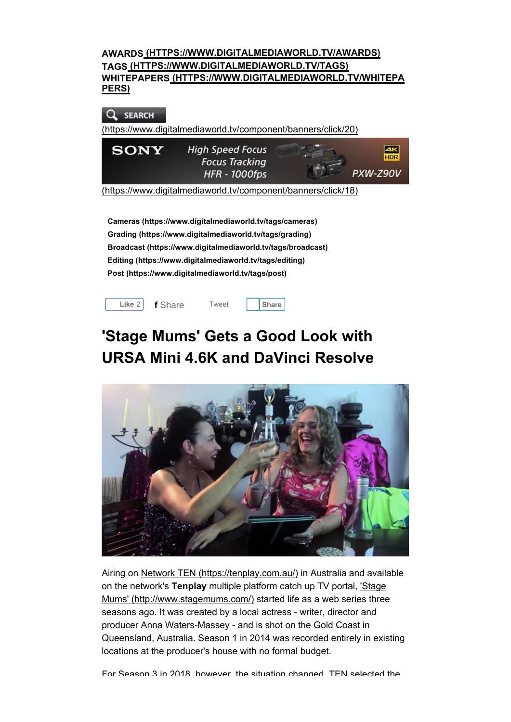| AWARDS (HTTPS://WWW.DIGITALMEDIAWORLD.TV/AWARDS)<br>TAGS (HTTPS://WWW.DIGITALMEDIAWORLD.TV/TAGS)<br>WHITEPAPERS (HTTPS://WWW.DIGITALMEDIAWORLD.TV/WHITEPA<br>PERS) |                                                                          |  |                              |
|--------------------------------------------------------------------------------------------------------------------------------------------------------------------|--------------------------------------------------------------------------|--|------------------------------|
| <b>SEARCH</b><br>(https://www.digitalmediaworld.tv/component/banners/click/20)                                                                                     |                                                                          |  |                              |
| <b>SONY</b>                                                                                                                                                        | <b>High Speed Focus</b><br><b>Focus Tracking</b><br><b>HFR - 1000fps</b> |  | 4К<br><b>HDR</b><br>PXW-Z90V |
| (https://www.digitalmediaworld.tv/component/banners/click/18)                                                                                                      |                                                                          |  |                              |

Cameras (https://www.digitalmediaworld.tv/tags/cameras) Grading (https://www.digitalmediaworld.tv/tags/grading) Broadcast (https://www.digitalmediaworld.tv/tags/broadcast) Editing (https://www.digitalmediaworld.tv/tags/editing) Post (https://www.digitalmediaworld.tv/tags/post)



# 'Stage Mums' Gets a Good Look with URSA Mini 4.6K and DaVinci Resolve



Airing on Network TEN (https://tenplay.com.au/) in Australia and available on the network's Tenplay multiple platform catch up TV portal, 'Stage Mums' (http://www.stagemums.com/) started life as a web series three seasons ago. It was created by a local actress - writer, director and producer Anna Waters-Massey - and is shot on the Gold Coast in Queensland, Australia. Season 1 in 2014 was recorded entirely in existing locations at the producer's house with no formal budget.

For Season 3 in 2018, however, the situation changed. TEN selected the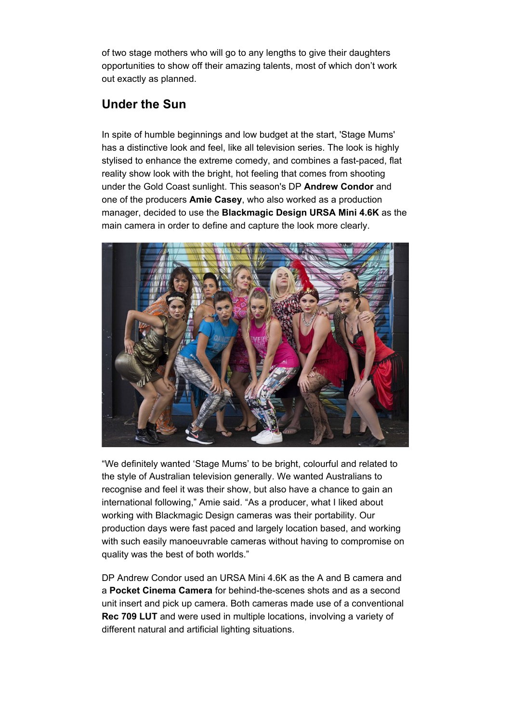of two stage mothers who will go to any lengths to give their daughters opportunities to show off their amazing talents, most of which don't work out exactly as planned.

## Under the Sun

In spite of humble beginnings and low budget at the start, 'Stage Mums' has a distinctive look and feel, like all television series. The look is highly stylised to enhance the extreme comedy, and combines a fast-paced, flat reality show look with the bright, hot feeling that comes from shooting under the Gold Coast sunlight. This season's DP Andrew Condor and one of the producers **Amie Casey**, who also worked as a production manager, decided to use the Blackmagic Design URSA Mini 4.6K as the main camera in order to define and capture the look more clearly.



"We definitely wanted 'Stage Mums' to be bright, colourful and related to the style of Australian television generally. We wanted Australians to recognise and feel it was their show, but also have a chance to gain an international following," Amie said. "As a producer, what I liked about working with Blackmagic Design cameras was their portability. Our production days were fast paced and largely location based, and working with such easily manoeuvrable cameras without having to compromise on quality was the best of both worlds."

DP Andrew Condor used an URSA Mini 4.6K as the A and B camera and a Pocket Cinema Camera for behind-the-scenes shots and as a second unit insert and pick up camera. Both cameras made use of a conventional Rec 709 LUT and were used in multiple locations, involving a variety of different natural and artificial lighting situations.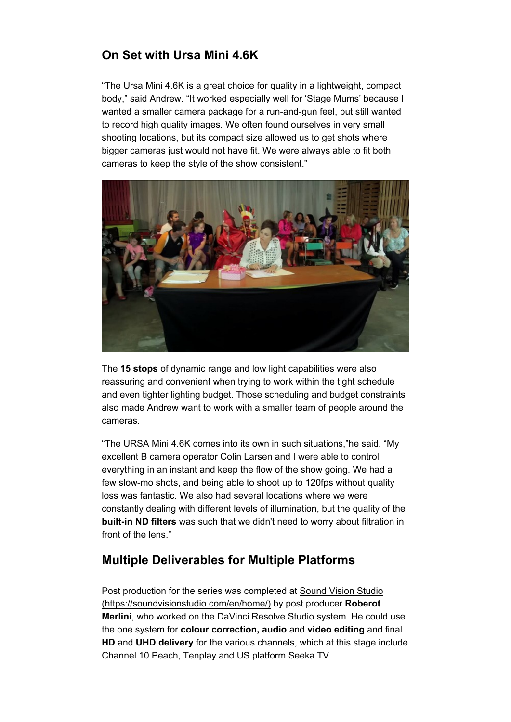## On Set with Ursa Mini 4.6K

"The Ursa Mini 4.6K is a great choice for quality in a lightweight, compact body," said Andrew. "It worked especially well for 'Stage Mums' because I wanted a smaller camera package for a run-and-gun feel, but still wanted to record high quality images. We often found ourselves in very small shooting locations, but its compact size allowed us to get shots where bigger cameras just would not have fit. We were always able to fit both cameras to keep the style of the show consistent."



The 15 stops of dynamic range and low light capabilities were also reassuring and convenient when trying to work within the tight schedule and even tighter lighting budget. Those scheduling and budget constraints also made Andrew want to work with a smaller team of people around the cameras.

"The URSA Mini 4.6K comes into its own in such situations,"he said. "My excellent B camera operator Colin Larsen and I were able to control everything in an instant and keep the flow of the show going. We had a few slow-mo shots, and being able to shoot up to 120fps without quality loss was fantastic. We also had several locations where we were constantly dealing with different levels of illumination, but the quality of the built-in ND filters was such that we didn't need to worry about filtration in front of the lens."

#### Multiple Deliverables for Multiple Platforms

Post production for the series was completed at Sound Vision Studio (https://soundvisionstudio.com/en/home/) by post producer Roberot Merlini, who worked on the DaVinci Resolve Studio system. He could use the one system for colour correction, audio and video editing and final HD and UHD delivery for the various channels, which at this stage include Channel 10 Peach, Tenplay and US platform Seeka TV.